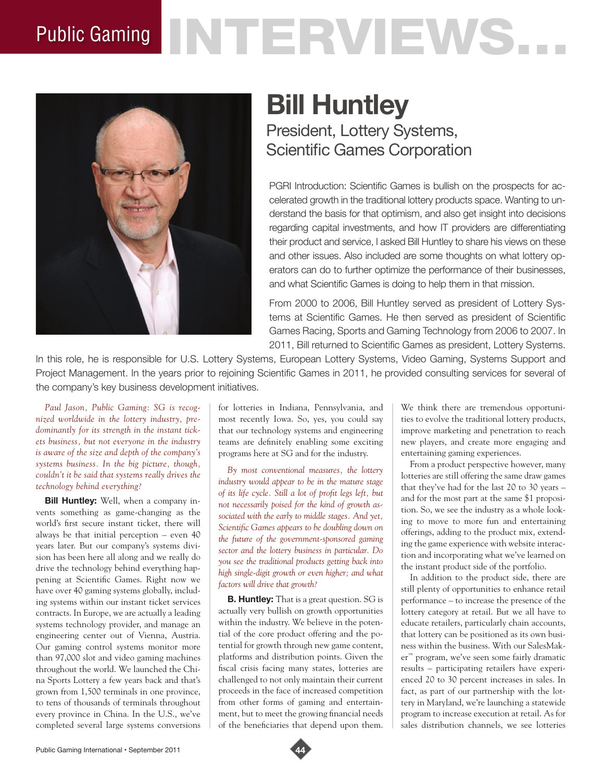# Public Gaming NTERVENS.



# **Bill Huntley**

President, Lottery Systems, Scientific Games Corporation

PGRI Introduction: Scientific Games is bullish on the prospects for accelerated growth in the traditional lottery products space. Wanting to understand the basis for that optimism, and also get insight into decisions regarding capital investments, and how IT providers are differentiating their product and service, I asked Bill Huntley to share his views on these and other issues. Also included are some thoughts on what lottery operators can do to further optimize the performance of their businesses, and what Scientific Games is doing to help them in that mission.

From 2000 to 2006, Bill Huntley served as president of Lottery Systems at Scientific Games. He then served as president of Scientific Games Racing, Sports and Gaming Technology from 2006 to 2007. In 2011, Bill returned to Scientific Games as president, Lottery Systems.

In this role, he is responsible for U.S. Lottery Systems, European Lottery Systems, Video Gaming, Systems Support and Project Management. In the years prior to rejoining Scientific Games in 2011, he provided consulting services for several of the company's key business development initiatives.

*Paul Jason, Public Gaming: SG is recognized worldwide in the lottery industry, predominantly for its strength in the instant tickets business, but not everyone in the industry is aware of the size and depth of the company's systems business. In the big picture, though, couldn't it be said that systems really drives the technology behind everything?*

**Bill Huntley:** Well, when a company invents something as game-changing as the world's first secure instant ticket, there will always be that initial perception – even 40 years later. But our company's systems division has been here all along and we really do drive the technology behind everything happening at Scientific Games. Right now we have over 40 gaming systems globally, including systems within our instant ticket services contracts. In Europe, we are actually a leading systems technology provider, and manage an engineering center out of Vienna, Austria. Our gaming control systems monitor more than 97,000 slot and video gaming machines throughout the world. We launched the China Sports Lottery a few years back and that's grown from 1,500 terminals in one province, to tens of thousands of terminals throughout every province in China. In the U.S., we've completed several large systems conversions

for lotteries in Indiana, Pennsylvania, and most recently Iowa. So, yes, you could say that our technology systems and engineering teams are definitely enabling some exciting programs here at SG and for the industry.

*By most conventional measures, the lottery industry would appear to be in the mature stage of its life cycle. Still a lot of profit legs left, but not necessarily poised for the kind of growth associated with the early to middle stages. And yet, Scientific Games appears to be doubling down on the future of the government-sponsored gaming sector and the lottery business in particular. Do you see the traditional products getting back into high single-digit growth or even higher; and what factors will drive that growth?* 

**B. Huntley:** That is a great question. SG is actually very bullish on growth opportunities within the industry. We believe in the potential of the core product offering and the potential for growth through new game content, platforms and distribution points. Given the fiscal crisis facing many states, lotteries are challenged to not only maintain their current proceeds in the face of increased competition from other forms of gaming and entertainment, but to meet the growing financial needs of the beneficiaries that depend upon them.

We think there are tremendous opportunities to evolve the traditional lottery products, improve marketing and penetration to reach new players, and create more engaging and entertaining gaming experiences.

From a product perspective however, many lotteries are still offering the same draw games that they've had for the last 20 to 30 years – and for the most part at the same \$1 proposition. So, we see the industry as a whole looking to move to more fun and entertaining offerings, adding to the product mix, extending the game experience with website interaction and incorporating what we've learned on the instant product side of the portfolio.

In addition to the product side, there are still plenty of opportunities to enhance retail performance – to increase the presence of the lottery category at retail. But we all have to educate retailers, particularly chain accounts, that lottery can be positioned as its own business within the business. With our SalesMaker™ program, we've seen some fairly dramatic results – participating retailers have experienced 20 to 30 percent increases in sales. In fact, as part of our partnership with the lottery in Maryland, we're launching a statewide program to increase execution at retail. As for sales distribution channels, we see lotteries

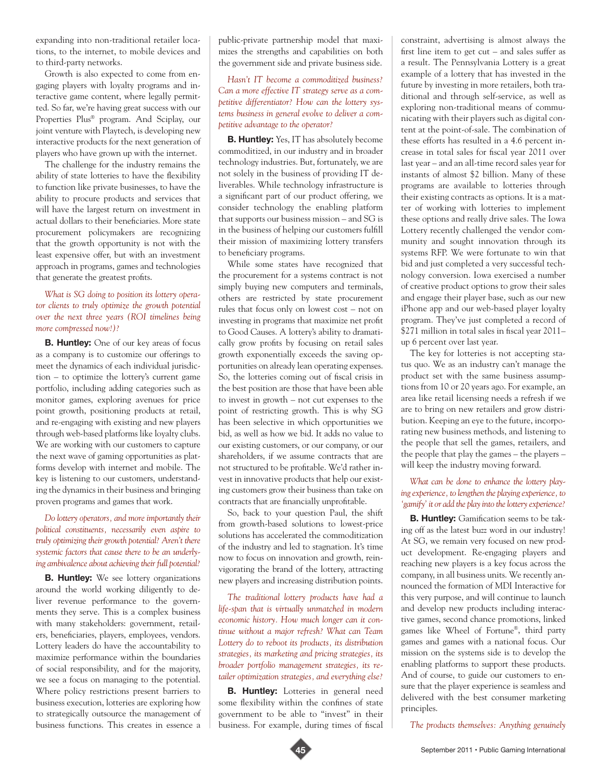expanding into non-traditional retailer locations, to the internet, to mobile devices and to third-party networks.

Growth is also expected to come from engaging players with loyalty programs and interactive game content, where legally permitted. So far, we're having great success with our Properties Plus® program. And Sciplay, our joint venture with Playtech, is developing new interactive products for the next generation of players who have grown up with the internet.

The challenge for the industry remains the ability of state lotteries to have the flexibility to function like private businesses, to have the ability to procure products and services that will have the largest return on investment in actual dollars to their beneficiaries. More state procurement policymakers are recognizing that the growth opportunity is not with the least expensive offer, but with an investment approach in programs, games and technologies that generate the greatest profits.

### *What is SG doing to position its lottery operator clients to truly optimize the growth potential over the next three years (ROI timelines being more compressed now!)?*

**B. Huntley:** One of our key areas of focus as a company is to customize our offerings to meet the dynamics of each individual jurisdiction – to optimize the lottery's current game portfolio, including adding categories such as monitor games, exploring avenues for price point growth, positioning products at retail, and re-engaging with existing and new players through web-based platforms like loyalty clubs. We are working with our customers to capture the next wave of gaming opportunities as platforms develop with internet and mobile. The key is listening to our customers, understanding the dynamics in their business and bringing proven programs and games that work.

#### *Do lottery operators, and more importantly their political constituents, necessarily even aspire to truly optimizing their growth potential? Aren't there systemic factors that cause there to be an underlying ambivalence about achieving their full potential?*

**B. Huntley:** We see lottery organizations around the world working diligently to deliver revenue performance to the governments they serve. This is a complex business with many stakeholders: government, retailers, beneficiaries, players, employees, vendors. Lottery leaders do have the accountability to maximize performance within the boundaries of social responsibility, and for the majority, we see a focus on managing to the potential. Where policy restrictions present barriers to business execution, lotteries are exploring how to strategically outsource the management of business functions. This creates in essence a

public-private partnership model that maximizes the strengths and capabilities on both the government side and private business side.

*Hasn't IT become a commoditized business? Can a more effective IT strategy serve as a competitive differentiator? How can the lottery systems business in general evolve to deliver a competitive advantage to the operator?* 

**B. Huntley:** Yes, IT has absolutely become commoditized, in our industry and in broader technology industries. But, fortunately, we are not solely in the business of providing IT deliverables. While technology infrastructure is a significant part of our product offering, we consider technology the enabling platform that supports our business mission – and SG is in the business of helping our customers fulfill their mission of maximizing lottery transfers to beneficiary programs.

While some states have recognized that the procurement for a systems contract is not simply buying new computers and terminals, others are restricted by state procurement rules that focus only on lowest cost – not on investing in programs that maximize net profit to Good Causes. A lottery's ability to dramatically grow profits by focusing on retail sales growth exponentially exceeds the saving opportunities on already lean operating expenses. So, the lotteries coming out of fiscal crisis in the best position are those that have been able to invest in growth – not cut expenses to the point of restricting growth. This is why SG has been selective in which opportunities we bid, as well as how we bid. It adds no value to our existing customers, or our company, or our shareholders, if we assume contracts that are not structured to be profitable. We'd rather invest in innovative products that help our existing customers grow their business than take on contracts that are financially unprofitable.

So, back to your question Paul, the shift from growth-based solutions to lowest-price solutions has accelerated the commoditization of the industry and led to stagnation. It's time now to focus on innovation and growth, reinvigorating the brand of the lottery, attracting new players and increasing distribution points.

*The traditional lottery products have had a life-span that is virtually unmatched in modern economic history. How much longer can it continue without a major refresh? What can Team Lottery do to reboot its products, its distribution strategies, its marketing and pricing strategies, its broader portfolio management strategies, its retailer optimization strategies, and everything else?* 

**B. Huntley:** Lotteries in general need some flexibility within the confines of state government to be able to "invest" in their business. For example, during times of fiscal

constraint, advertising is almost always the first line item to get cut – and sales suffer as a result. The Pennsylvania Lottery is a great example of a lottery that has invested in the future by investing in more retailers, both traditional and through self-service, as well as exploring non-traditional means of communicating with their players such as digital content at the point-of-sale. The combination of these efforts has resulted in a 4.6 percent increase in total sales for fiscal year 2011 over last year – and an all-time record sales year for instants of almost \$2 billion. Many of these programs are available to lotteries through their existing contracts as options. It is a matter of working with lotteries to implement these options and really drive sales. The Iowa Lottery recently challenged the vendor community and sought innovation through its systems RFP. We were fortunate to win that bid and just completed a very successful technology conversion. Iowa exercised a number of creative product options to grow their sales and engage their player base, such as our new iPhone app and our web-based player loyalty program. They've just completed a record of \$271 million in total sales in fiscal year 2011– up 6 percent over last year.

The key for lotteries is not accepting status quo. We as an industry can't manage the product set with the same business assumptions from 10 or 20 years ago. For example, an area like retail licensing needs a refresh if we are to bring on new retailers and grow distribution. Keeping an eye to the future, incorporating new business methods, and listening to the people that sell the games, retailers, and the people that play the games – the players – will keep the industry moving forward.

#### *What can be done to enhance the lottery playing experience, to lengthen the playing experience, to 'gamify' it or add the play into the lottery experience?*

**B. Huntley:** Gamification seems to be taking off as the latest buzz word in our industry! At SG, we remain very focused on new product development. Re-engaging players and reaching new players is a key focus across the company, in all business units. We recently announced the formation of MDI Interactive for this very purpose, and will continue to launch and develop new products including interactive games, second chance promotions, linked games like Wheel of Fortune®, third party games and games with a national focus. Our mission on the systems side is to develop the enabling platforms to support these products. And of course, to guide our customers to ensure that the player experience is seamless and delivered with the best consumer marketing principles.

*The products themselves: Anything genuinely*